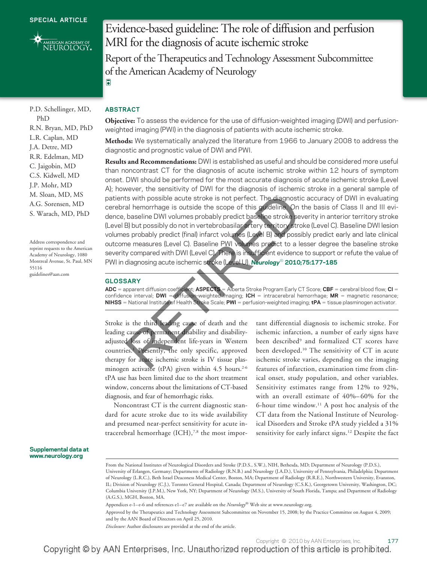<span id="page-0-0"></span>

P.D. Schellinger, MD, PhD R.N. Bryan, MD, PhD L.R. Caplan, MD J.A. Detre, MD R.R. Edelman, MD C. Jaigobin, MD C.S. Kidwell, MD J.P. Mohr, MD M. Sloan, MD, MS A.G. Sorensen, MD S. Warach, MD, PhD

Address correspondence and reprint requests to the American Academy of Neurology, 1080 Montreal Avenue, St. Paul, MN 55116 guidelines@aan.com

# Evidence-based guideline: The role of diffusion and perfusion MRI for the diagnosis of acute ischemic stroke

Report of the Therapeutics and Technology Assessment Subcommittee of the American Academy of Neurology

#### **ABSTRACT**

**Objective:** To assess the evidence for the use of diffusion-weighted imaging (DWI) and perfusionweighted imaging (PWI) in the diagnosis of patients with acute ischemic stroke.

**Methods:** We systematically analyzed the literature from 1966 to January 2008 to address the diagnostic and prognostic value of DWI and PWI.

**Results and Recommendations:** DWI is established as useful and should be considered more useful than noncontrast CT for the diagnosis of acute ischemic stroke within 12 hours of symptom onset. DWI should be performed for the most accurate diagnosis of acute ischemic stroke (Level A); however, the sensitivity of DWI for the diagnosis of ischemic stroke in a general sample of patients with possible acute stroke is not perfect. The diagnostic accuracy of DWI in evaluating cerebral hemorrhage is outside the scope of this guideline. On the basis of Class II and III evidence, baseline DWI volumes probably predict baseline stroke severity in anterior territory stroke (Level B) but possibly do not in vertebrobasilar artery territory stroke (Level C). Baseline DWI lesion volumes probably predict (final) infarct volumes (Level B) and possibly predict early and late clinical outcome measures (Level C). Baseline PWI volumes predict to a lesser degree the baseline stroke severity compared with DWI (Level C). There is insufficient evidence to support or refute the value of PWI in diagnosing acute ischemic stroke (Level U). *Neurology*® **2010;75:177–185** Its with possible acute stroke is not perfect. The diagnostical hemorrhage is outside the scope of this **guideline**. On<br>baseline DWI volumes probably predict baseline stroke see<br>B) but possibly do not in vertebrobasilar er

#### **GLOSSARY**

 $\sf ADC$  = apparent diffusion coefficient;  $\sf ABCSTS$  = Alberta Stroke Program Early CT Score;  $\sf CBF$  = cerebral blood flow;  $\sf CL$  = confidence interval; DWI = diffusion-weighted imaging; ICH = intracerebral hemorrhage; MR = magnetic resonance; **NIHSS** = National Institute of Health Stroke Scale; PWI = perfusion-weighted imaging; **tPA** = tissue plasminogen activator.

Stroke is the third leading cause of death and the leading cause of permanent disability and disabilityadjusted loss of independent life-years in Western countries.1 Presently, the only specific, approved therapy for acute ischemic stroke is IV tissue plasminogen activator (tPA) given within  $4.5$  hours.<sup>2-6</sup> tPA use has been limited due to the short treatment window, concerns about the limitations of CT-based diagnosis, and fear of hemorrhagic risks.

Noncontrast CT is the current diagnostic standard for acute stroke due to its wide availability and presumed near-perfect sensitivity for acute intracerebral hemorrhage (ICH),<sup>7,8</sup> the most important differential diagnosis to ischemic stroke. For ischemic infarction, a number of early signs have been described<sup>9</sup> and formalized CT scores have been developed.10 The sensitivity of CT in acute ischemic stroke varies, depending on the imaging features of infarction, examination time from clinical onset, study population, and other variables. Sensitivity estimates range from 12% to 92%, with an overall estimate of 40%– 60% for the 6-hour time window.11 A post hoc analysis of the CT data from the National Institute of Neurological Disorders and Stroke tPA study yielded a 31% sensitivity for early infarct signs.<sup>12</sup> Despite the fact

**Supplemental data at www.neurology.org**

Appendices e-1-e-6 and references e1-e7 are available on the *Neurology*<sup>®</sup> Web site at www.neurology.org.

Approved by the Therapeutics and Technology Assessment Subcommittee on November 15, 2008; by the Practice Committee on August 4, 2009; and by the AAN Board of Directors on April 25, 2010.

*Disclosure:* Author disclosures are provided at the end of the article.

From the National Institutes of Neurological Disorders and Stroke (P.D.S., S.W.), NIH, Bethesda, MD; Department of Neurology (P.D.S.), University of Erlangen, Germany; Departments of Radiology (R.N.B.) and Neurology (J.A.D.), University of Pennsylvania, Philadelphia; Department of Neurology (L.R.C.), Beth Israel Deaconess Medical Center, Boston, MA; Department of Radiology (R.R.E.), Northwestern University, Evanston, IL; Division of Neurology (C.J.), Toronto General Hospital, Canada; Department of Neurology (C.S.K.), Georgetown University, Washington, DC; Columbia University (J.P.M.), New York, NY; Department of Neurology (M.S.), University of South Florida, Tampa; and Department of Radiology (A.G.S.), MGH, Boston, MA.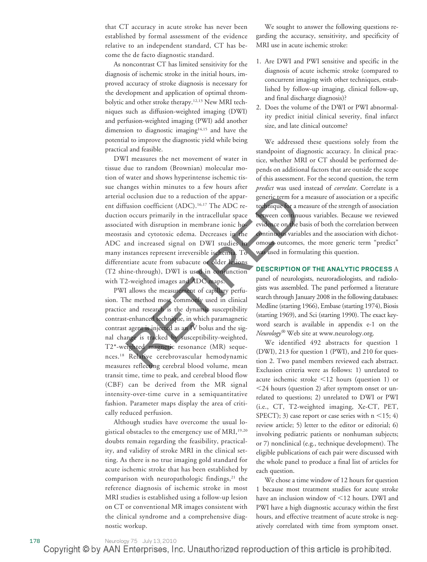that CT accuracy in acute stroke has never been established by formal assessment of the evidence relative to an independent standard, CT has become the de facto diagnostic standard.

As noncontrast CT has limited sensitivity for the diagnosis of ischemic stroke in the initial hours, improved accuracy of stroke diagnosis is necessary for the development and application of optimal thrombolytic and other stroke therapy.<sup>12,13</sup> New MRI techniques such as diffusion-weighted imaging (DWI) and perfusion-weighted imaging (PWI) add another dimension to diagnostic imaging<sup>14,15</sup> and have the potential to improve the diagnostic yield while being practical and feasible.

DWI measures the net movement of water in tissue due to random (Brownian) molecular motion of water and shows hyperintense ischemic tissue changes within minutes to a few hours after arterial occlusion due to a reduction of the apparent diffusion coefficient (ADC).<sup>16,17</sup> The ADC reduction occurs primarily in the intracellular space associated with disruption in membrane ionic homeostasis and cytotoxic edema. Decreases in the ADC and increased signal on DWI studies in many instances represent irreversible ischemia. To differentiate acute from subacute or older lesions (T2 shine-through), DWI is used in conjunction with T2-weighted images and ADC maps. occlusion due to a reduction of the appar-<br>
fusion coefficient (ADC).<sup>16,17</sup> The ADC re-<br>
redunique for a n<br>
n occurs primarily in the intracellular space<br>
technique for a n<br>
n occurs primarily in the intracellular space<br>

PWI allows the measurement of capillary perfusion. The method most commonly used in clinical practice and research is the dynamic susceptibility contrast-enhanced technique, in which paramagnetic contrast agent is injected as an IV bolus and the signal change is tracked by susceptibility-weighted, T2\*-weighted magnetic resonance (MR) sequences.18 Relative cerebrovascular hemodynamic measures reflecting cerebral blood volume, mean transit time, time to peak, and cerebral blood flow (CBF) can be derived from the MR signal intensity-over-time curve in a semiquantitative fashion. Parameter maps display the area of critically reduced perfusion.

Although studies have overcome the usual logistical obstacles to the emergency use of MRI,<sup>19,20</sup> doubts remain regarding the feasibility, practicality, and validity of stroke MRI in the clinical setting. As there is no true imaging gold standard for acute ischemic stroke that has been established by comparison with neuropathologic findings,<sup>21</sup> the reference diagnosis of ischemic stroke in most MRI studies is established using a follow-up lesion on CT or conventional MR images consistent with the clinical syndrome and a comprehensive diagnostic workup.

We sought to answer the following questions regarding the accuracy, sensitivity, and specificity of MRI use in acute ischemic stroke:

- 1. Are DWI and PWI sensitive and specific in the diagnosis of acute ischemic stroke (compared to concurrent imaging with other techniques, established by follow-up imaging, clinical follow-up, and final discharge diagnosis)?
- 2. Does the volume of the DWI or PWI abnormality predict initial clinical severity, final infarct size, and late clinical outcome?

We addressed these questions solely from the standpoint of diagnostic accuracy. In clinical practice, whether MRI or CT should be performed depends on additional factors that are outside the scope of this assessment. For the second question, the term *predict* was used instead of *correlate*. Correlate is a generic term for a measure of association or a specific technique for a measure of the strength of association between continuous variables. Because we reviewed evidence on the basis of both the correlation between continuous variables and the association with dichotomous outcomes, the more generic term "predict" was used in formulating this question.

#### **DESCRIPTION OF THE ANALYTIC PROCESS** A

panel of neurologists, neuroradiologists, and radiologists was assembled. The panel performed a literature search through January 2008 in the following databases: Medline (starting 1966), Embase (starting 1974), Biosis (starting 1969), and Sci (starting 1990). The exact keyword search is available in appendix e-1 on the *Neurology®* Web site at www.neurology.org.

We identified 492 abstracts for question 1 (DWI), 213 for question 1 (PWI), and 210 for question 2. Two panel members reviewed each abstract. Exclusion criteria were as follows: 1) unrelated to acute ischemic stroke <12 hours (question 1) or -24 hours (question 2) after symptom onset or unrelated to questions; 2) unrelated to DWI or PWI (i.e., CT, T2-weighted imaging, Xe-CT, PET, SPECT); 3) case report or case series with  $n < 15$ ; 4) review article; 5) letter to the editor or editorial; 6) involving pediatric patients or nonhuman subjects; or 7) nonclinical (e.g., technique development). The eligible publications of each pair were discussed with the whole panel to produce a final list of articles for each question.

We chose a time window of 12 hours for question 1 because most treatment studies for acute stroke have an inclusion window of <12 hours. DWI and PWI have a high diagnostic accuracy within the first hours, and effective treatment of acute stroke is negatively correlated with time from symptom onset.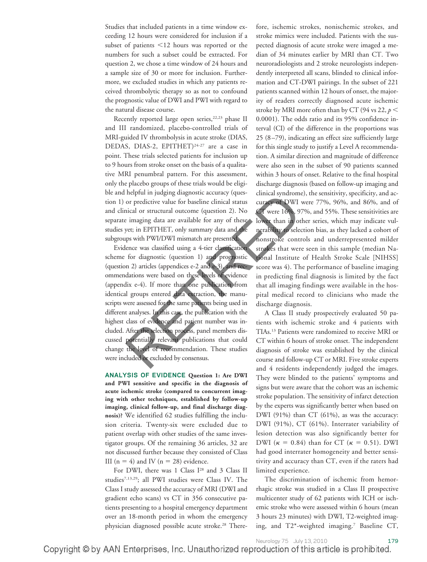Studies that included patients in a time window exceeding 12 hours were considered for inclusion if a subset of patients <12 hours was reported or the numbers for such a subset could be extracted. For question 2, we chose a time window of 24 hours and a sample size of 30 or more for inclusion. Furthermore, we excluded studies in which any patients received thrombolytic therapy so as not to confound the prognostic value of DWI and PWI with regard to the natural disease course.

Recently reported large open series,<sup>22,23</sup> phase II and III randomized, placebo-controlled trials of MRI-guided IV thrombolysis in acute stroke (DIAS, DEDAS, DIAS-2, EPITHET)<sup>24-27</sup> are a case in point. These trials selected patients for inclusion up to 9 hours from stroke onset on the basis of a qualitative MRI penumbral pattern. For this assessment, only the placebo groups of these trials would be eligible and helpful in judging diagnostic accuracy (question 1) or predictive value for baseline clinical status and clinical or structural outcome (question 2). No separate imaging data are available for any of these studies yet; in EPITHET, only summary data and the subgroups with PWI/DWI mismatch are presented.

Evidence was classified using a 4-tier classification scheme for diagnostic (question 1) and prognostic (question 2) articles (appendices e-2 and e-3), and recommendations were based on these levels of evidence (appendix e-4). If more than one publication from identical groups entered data extraction, the manuscripts were assessed for the same patients being used in different analyses. In this case, the publication with the highest class of evidence and patient number was included. After the selection process, panel members discussed potentially relevant publications that could change the level of recommendation. These studies were included or excluded by consensus. Including the sphere of the selection process, particle in the spherical sphere of the selection process.<br>
The selection 2. No these lower than in other imaging data are available for any of these lower than in other imagi

**ANALYSIS OF EVIDENCE Question 1: Are DWI and PWI sensitive and specific in the diagnosis of acute ischemic stroke (compared to concurrent imaging with other techniques, established by follow-up imaging, clinical follow-up, and final discharge diagnosis)?** We identified 62 studies fulfilling the inclusion criteria. Twenty-six were excluded due to patient overlap with other studies of the same investigator groups. Of the remaining 36 articles, 32 are not discussed further because they consisted of Class III ( $n = 4$ ) and IV ( $n = 28$ ) evidence.

For DWI, there was 1 Class I<sup>28</sup> and 3 Class II studies7,13,29; all PWI studies were Class IV. The Class I study assessed the accuracy of MRI (DWI and gradient echo scans) vs CT in 356 consecutive patients presenting to a hospital emergency department over an 18-month period in whom the emergency physician diagnosed possible acute stroke.<sup>28</sup> There-

fore, ischemic strokes, nonischemic strokes, and stroke mimics were included. Patients with the suspected diagnosis of acute stroke were imaged a median of 34 minutes earlier by MRI than CT. Two neuroradiologists and 2 stroke neurologists independently interpreted all scans, blinded to clinical information and CT-DWI pairings. In the subset of 221 patients scanned within 12 hours of onset, the majority of readers correctly diagnosed acute ischemic stroke by MRI more often than by CT (94 vs 22,  $p <$ 0.0001). The odds ratio and its 95% confidence interval (CI) of the difference in the proportions was 25 (8 –79), indicating an effect size sufficiently large for this single study to justify a Level A recommendation. A similar direction and magnitude of difference were also seen in the subset of 90 patients scanned within 3 hours of onset. Relative to the final hospital discharge diagnosis (based on follow-up imaging and clinical syndrome), the sensitivity, specificity, and accuracy of DWI were 77%, 96%, and 86%, and of CT were 16%, 97%, and 55%. These sensitivities are lower than in other series, which may indicate vulnerability to selection bias, as they lacked a cohort of nonstroke controls and underrepresented milder strokes that were seen in this sample (median National Institute of Health Stroke Scale [NIHSS] score was 4). The performance of baseline imaging in predicting final diagnosis is limited by the fact that all imaging findings were available in the hospital medical record to clinicians who made the discharge diagnosis.

A Class II study prospectively evaluated 50 patients with ischemic stroke and 4 patients with TIAs.13 Patients were randomized to receive MRI or CT within 6 hours of stroke onset. The independent diagnosis of stroke was established by the clinical course and follow-up CT or MRI. Five stroke experts and 4 residents independently judged the images. They were blinded to the patients' symptoms and signs but were aware that the cohort was an ischemic stroke population. The sensitivity of infarct detection by the experts was significantly better when based on DWI (91%) than CT (61%), as was the accuracy: DWI (91%), CT (61%). Interrater variability of lesion detection was also significantly better for DWI ( $\kappa = 0.84$ ) than for CT ( $\kappa = 0.51$ ). DWI had good interrater homogeneity and better sensitivity and accuracy than CT, even if the raters had limited experience.

The discrimination of ischemic from hemorrhagic stroke was studied in a Class II prospective multicenter study of 62 patients with ICH or ischemic stroke who were assessed within 6 hours (mean 3 hours 23 minutes) with DWI, T2-weighted imaging, and T2\*-weighted imaging.7 Baseline CT,

Neurology 75 July 13, 2010 179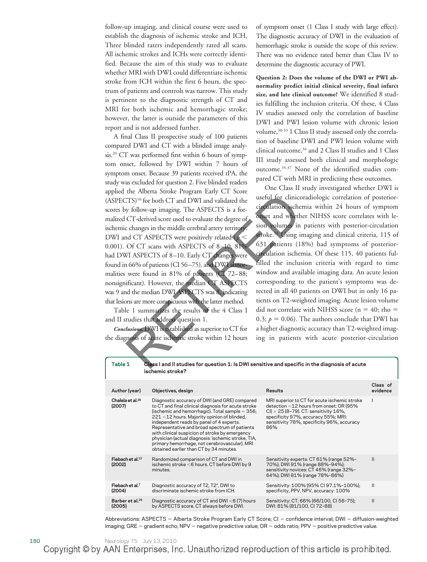follow-up imaging, and clinical course were used to establish the diagnosis of ischemic stroke and ICH. Three blinded raters independently rated all scans. All ischemic strokes and ICHs were correctly identified. Because the aim of this study was to evaluate whether MRI with DWI could differentiate ischemic stroke from ICH within the first 6 hours, the spectrum of patients and controls was narrow. This study is pertinent to the diagnostic strength of CT and MRI for both ischemic and hemorrhagic stroke; however, the latter is outside the parameters of this report and is not addressed further.

A final Class II prospective study of 100 patients compared DWI and CT with a blinded image analysis.29 CT was performed first within 6 hours of symptom onset, followed by DWI within 7 hours of symptom onset. Because 39 patients received tPA, the study was excluded for question 2. Five blinded readers applied the Alberta Stroke Program Early CT Score (ASPECTS)10 for both CT and DWI and validated the scores by follow-up imaging. The ASPECTS is a formalized CT-derived score used to evaluate the degree of ischemic changes in the middle cerebral artery territory. DWI and CT ASPECTS were positively related (*p* -0.001). Of CT scans with ASPECTS of 8–10, 81% had DWI ASPECTS of 8-10. Early CT changes were found in 66% of patients (CI 56–75), and DWI abnormalities were found in 81% of patients (CI 72– 88; nonsignificant). However, the median CT ASPECTS was 9 and the median DWI ASPECTS was 8, indicating that lesions are more conspicuous with the latter method. TES<sup>10</sup> for both CT and DWI and validated the useful for clinical<br>TES<sup>10</sup> for both CT and DWI and validated the useful for clinical<br>y follow-up imaging. The ASPECTS is a for-<br>CT-derived score used to evaluate the degree o

Table 1 summarizes the results of the 4 Class I and II studies that address question 1.

*Conclusions.* DWI is established as superior to CT for the diagnosis of acute ischemic stroke within 12 hours of symptom onset (1 Class I study with large effect). The diagnostic accuracy of DWI in the evaluation of hemorrhagic stroke is outside the scope of this review. There was no evidence rated better than Class IV to determine the diagnostic accuracy of PWI.

**Question 2: Does the volume of the DWI or PWI abnormality predict initial clinical severity, final infarct size, and late clinical outcome?** We identified 8 studies fulfilling the inclusion criteria. Of these, 4 Class IV studies assessed only the correlation of baseline DWI and PWI lesion volume with chronic lesion volume,<sup>30-33</sup> 1 Class II study assessed only the correlation of baseline DWI and PWI lesion volume with clinical outcome,<sup>34</sup> and 2 Class II studies and 1 Class III study assessed both clinical and morphologic outcome.35-37 None of the identified studies compared CT with MRI in predicting these outcomes.

One Class II study investigated whether DWI is useful for clinicoradiologic correlation of posteriorcirculation ischemia within 24 hours of symptom onset and whether NIHSS score correlates with lesion volumes in patients with posterior-circulation stroke.<sup>34</sup> Using imaging and clinical criteria, 115 of 631 patients (18%) had symptoms of posteriorcirculation ischemia. Of these 115, 40 patients fulfilled the inclusion criteria with regard to time window and available imaging data. An acute lesion corresponding to the patient's symptoms was detected in all 40 patients on DWI but in only 16 patients on T2-weighted imaging. Acute lesion volume did not correlate with NIHSS score ( $n = 40$ ; rho = 0.3;  $p = 0.06$ ). The authors conclude that DWI has a higher diagnostic accuracy than T2-weighted imaging in patients with acute posterior-circulation

| Table 1                                | Class I and II studies for question 1: Is DWI sensitive and specific in the diagnosis of acute<br>ischemic stroke?                                                                                                                                                                                                                                                                                                                                                                                       |                                                                                                                                                                                                                               |                      |
|----------------------------------------|----------------------------------------------------------------------------------------------------------------------------------------------------------------------------------------------------------------------------------------------------------------------------------------------------------------------------------------------------------------------------------------------------------------------------------------------------------------------------------------------------------|-------------------------------------------------------------------------------------------------------------------------------------------------------------------------------------------------------------------------------|----------------------|
| Author (year)                          | Objectives, design                                                                                                                                                                                                                                                                                                                                                                                                                                                                                       | Results                                                                                                                                                                                                                       | Class of<br>evidence |
| Chalela et al. <sup>28</sup><br>(2007) | Diagnostic accuracy of DWI (and GRE) compared<br>to CT and final clinical diagnosis for acute stroke<br>(ischemic and hemorrhagic). Total sample = 356;<br>221 < 12 hours. Majority opinion of blinded,<br>independent reads by panel of 4 experts.<br>Representative and broad spectrum of patients<br>with clinical suspicion of stroke by emergency<br>physician (actual diagnosis: ischemic stroke, TIA,<br>primary hemorrhage, not cerebrovascular). MRI<br>obtained earlier than CT by 34 minutes. | MRI superior to CT for acute ischemic stroke<br>detection <12 hours from onset: OR (95%<br>$Cl$ = 25 (8-79). CT: sensitivity 16%,<br>specificity 97%, accuracy 55%; MRI:<br>sensitivity 78%, specificity 96%, accuracy<br>86% |                      |
| Fiebach et al. <sup>13</sup><br>(2002) | Randomized comparison of CT and DWI in<br>ischemic stroke <6 hours. CT before DWI by 9<br>minutes.                                                                                                                                                                                                                                                                                                                                                                                                       | Sensitivity experts: CT 61% (range 52%-<br>70%); DWI 91% (range 88%-94%);<br>sensitivity novices: CT 46% (range 32%-<br>64%); DWI 81% (range 78%-86%)                                                                         | $\mathbf{II}$        |
| Fiebach et al. <sup>7</sup><br>(2004)  | Diagnostic accuracy of T2, T2*, DWI to<br>discriminate ischemic stroke from ICH.                                                                                                                                                                                                                                                                                                                                                                                                                         | Sensitivity: 100% (95% CI 97.1%-100%);<br>specificity, PPV, NPV, accuracy: 100%                                                                                                                                               | $\mathbf{H}$         |
| Barber et al. <sup>29</sup><br>(2005)  | Diagnostic accuracy of CT and DWI <6 (7) hours<br>by ASPECTS score. CT always before DWI.                                                                                                                                                                                                                                                                                                                                                                                                                | Sensitivity: CT: 66% (66/100, CI 56-75);<br>DWI: 81% (81/100, CI 72-88)                                                                                                                                                       | $\mathbf{H}$         |

Abbreviations: ASPECTS = Alberta Stroke Program Early CT Score; CI = confidence interval; DWI = diffusion-weighted imaging; GRE = gradient echo; NPV = negative predictive value; OR = odds ratio; PPV = positive predictive value.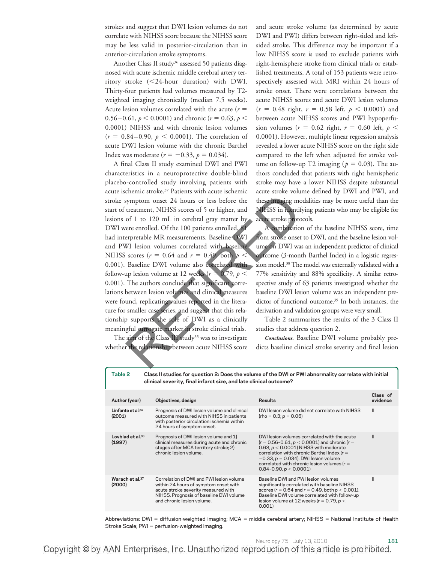strokes and suggest that DWI lesion volumes do not correlate with NIHSS score because the NIHSS score may be less valid in posterior-circulation than in anterior-circulation stroke symptoms.

Another Class II study<sup>36</sup> assessed 50 patients diagnosed with acute ischemic middle cerebral artery territory stroke (<24-hour duration) with DWI. Thirty-four patients had volumes measured by T2 weighted imaging chronically (median 7.5 weeks). Acute lesion volumes correlated with the acute (*r* 0.56 – 0.61,  $p < 0.0001$ ) and chronic ( $r = 0.63$ ,  $p <$ 0.0001) NIHSS and with chronic lesion volumes  $(r = 0.84 - 0.90, p < 0.0001)$ . The correlation of acute DWI lesion volume with the chronic Barthel Index was moderate  $(r = -0.33, p = 0.034)$ .

A final Class II study examined DWI and PWI characteristics in a neuroprotective double-blind placebo-controlled study involving patients with acute ischemic stroke.37 Patients with acute ischemic stroke symptom onset 24 hours or less before the start of treatment, NIHSS scores of 5 or higher, and lesions of 1 to 120 mL in cerebral gray matter by DWI were enrolled. Of the 100 patients enrolled, 81 had interpretable MR measurements. Baseline DWI and PWI lesion volumes correlated with baseline NIHSS scores  $(r = 0.64$  and  $r = 0.49$ , both *p* 0.001). Baseline DWI volume also correlated with follow-up lesion volume at 12 weeks ( $r = 0.79$ ,  $p <$ 0.001). The authors conclude that significant correlations between lesion volumes and clinical measures were found, replicating values reported in the literature for smaller case series, and suggest that this relationship supports the role of DWI as a clinically meaningful surrogate marker in stroke clinical trials. Example the relationship between acute NIHSS scores and subset of the relationship between acute NIHSS scores of 5 or higher, and MHSS in identified f 1 to 120 mL in cerebral gray matter by acute stroke protocone error en

The aim of the Class III study<sup>35</sup> was to investigate whether the relationship between acute NIHSS score and acute stroke volume (as determined by acute DWI and PWI) differs between right-sided and leftsided stroke. This difference may be important if a low NIHSS score is used to exclude patients with right-hemisphere stroke from clinical trials or established treatments. A total of 153 patients were retrospectively assessed with MRI within 24 hours of stroke onset. There were correlations between the acute NIHSS scores and acute DWI lesion volumes  $(r = 0.48$  right,  $r = 0.58$  left,  $p < 0.0001$ ) and between acute NIHSS scores and PWI hypoperfusion volumes ( $r = 0.62$  right,  $r = 0.60$  left,  $p <$ 0.0001). However, multiple linear regression analysis revealed a lower acute NIHSS score on the right side compared to the left when adjusted for stroke volume on follow-up T2 imaging ( $p = 0.03$ ). The authors concluded that patients with right hemispheric stroke may have a lower NIHSS despite substantial acute stroke volume defined by DWI and PWI, and these imaging modalities may be more useful than the NIHSS in identifying patients who may be eligible for acute stroke protocols.

A combination of the baseline NIHSS score, time from stroke onset to DWI, and the baseline lesion volume on DWI was an independent predictor of clinical outcome (3-month Barthel Index) in a logistic regression model.<sup>38</sup> The model was externally validated with a 77% sensitivity and 88% specificity. A similar retrospective study of 63 patients investigated whether the baseline DWI lesion volume was an independent predictor of functional outcome.<sup>39</sup> In both instances, the derivation and validation groups were very small.

Table 2 summarizes the results of the 3 Class II studies that address question 2.

*Conclusions.* Baseline DWI volume probably predicts baseline clinical stroke severity and final lesion

| Table 2 | Class II studies for question 2: Does the volume of the DWI or PWI abnormality correlate with initial |
|---------|-------------------------------------------------------------------------------------------------------|
|         | clinical severity, final infarct size, and late clinical outcome?                                     |

| Author (year)                          | Objectives, design                                                                                                                                                                                | Results                                                                                                                                                                                                                                                                                                                       | Class of<br>evidence |
|----------------------------------------|---------------------------------------------------------------------------------------------------------------------------------------------------------------------------------------------------|-------------------------------------------------------------------------------------------------------------------------------------------------------------------------------------------------------------------------------------------------------------------------------------------------------------------------------|----------------------|
| Linfante et al. $34$<br>(2001)         | Prognosis of DWI lesion volume and clinical<br>outcome measured with NIHSS in patients<br>with posterior circulation ischemia within<br>24 hours of symptom onset.                                | DWI lesion volume did not correlate with NIHSS<br>$(rho = 0.3; p = 0.06)$                                                                                                                                                                                                                                                     | $\mathbf{II}$        |
| Loyblad et al. <sup>36</sup><br>(1997) | Prognosis of DWI lesion volume and 1)<br>clinical measures during acute and chronic<br>stages after MCA territory stroke; 2)<br>chronic lesion volume.                                            | DWI lesion volumes correlated with the acute<br>$(r = 0.56 - 0.61, p < 0.0001)$ and chronic $(r =$<br>0.63, $p < 0.0001$ ) NIHSS with moderate<br>correlation with chronic Barthel Index ( $r =$<br>$-0.33$ , $p = 0.034$ ). DWI lesion volume<br>correlated with chronic lesion volumes ( $r =$<br>$0.84 - 0.90, p < 0.0001$ | $\mathbf{II}$        |
| Warach et al. <sup>37</sup><br>(2000)  | Correlation of DWI and PWI lesion volume<br>within 24 hours of symptom onset with<br>acute stroke severity measured with<br>NIHSS. Prognosis of baseline DWI volume<br>and chronic lesion volume. | Baseline DWI and PWI lesion volumes<br>significantly correlated with baseline NIHSS<br>scores ( $r = 0.64$ and $r = 0.49$ , both $p < 0.001$ ).<br>Baseline DWI volume correlated with follow-up<br>lesion volume at 12 weeks ( $r = 0.79$ , $p <$<br>0.001                                                                   | Ш                    |

Abbreviations: DWI = diffusion-weighted imaging; MCA = middle cerebral artery; NIHSS = National Institute of Health Stroke Scale; PWI = perfusion-weighted imaging.

Neurology 75 July 13, 2010 181 Copyright © by AAN Enterprises, Inc. Unauthorized reproduction of this article is prohibited.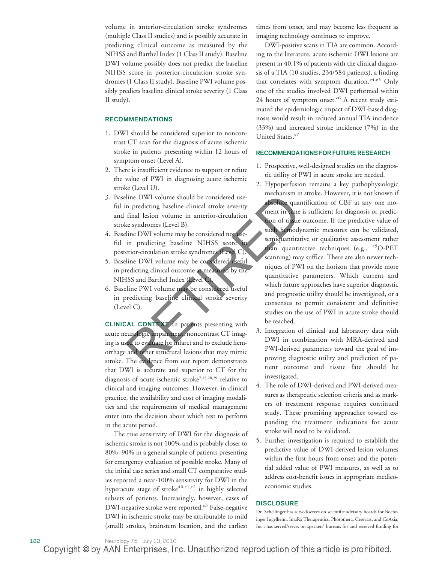volume in anterior-circulation stroke syndromes (multiple Class II studies) and is possibly accurate in predicting clinical outcome as measured by the NIHSS and Barthel Index (1 Class II study). Baseline DWI volume possibly does not predict the baseline NIHSS score in posterior-circulation stroke syndromes (1 Class II study). Baseline PWI volume possibly predicts baseline clinical stroke severity (1 Class II study).

#### **RECOMMENDATIONS**

- 1. DWI should be considered superior to noncontrast CT scan for the diagnosis of acute ischemic stroke in patients presenting within 12 hours of symptom onset (Level A).
- 2. There is insufficient evidence to support or refute the value of PWI in diagnosing acute ischemic stroke (Level U).
- 3. Baseline DWI volume should be considered useful in predicting baseline clinical stroke severity and final lesion volume in anterior-circulation stroke syndromes (Level B).
- 4. Baseline DWI volume may be considered not useful in predicting baseline NIHSS score in posterior-circulation stroke syndromes (Level C).
- 5. Baseline DWI volume may be considered useful in predicting clinical outcome as measured by the NIHSS and Barthel Index (Level C).
- 6. Baseline PWI volume may be considered useful in predicting baseline clinical stroke severity (Level C).

**CLINICAL CONTEXT** In patients presenting with acute neurologic impairment, noncontrast CT imaging is used to evaluate for infarct and to exclude hemorrhage and other structural lesions that may mimic stroke. The evidence from our report demonstrates that DWI is accurate and superior to CT for the diagnosis of acute ischemic stroke<sup>7,13,28,29</sup> relative to clinical and imaging outcomes. However, in clinical practice, the availability and cost of imaging modalities and the requirements of medical management enter into the decision about which test to perform in the acute period. The evidence from our report demonstrates<br>
The evidence from our reducting baseline clinical stroke severity<br>
final lesion volume in anterior-circulation<br>
time time time the syndromes (Level B).<br>
Line DWI volume may be con

The true sensitivity of DWI for the diagnosis of ischemic stroke is not 100% and is probably closer to 80%–90% in a general sample of patients presenting for emergency evaluation of possible stroke. Many of the initial case series and small CT comparative studies reported a near-100% sensitivity for DWI in the hyperacute stage of stroke<sup>40,e1,e2</sup> in highly selected subsets of patients. Increasingly, however, cases of DWI-negative stroke were reported.<sup>e3</sup> False-negative DWI in ischemic stroke may be attributable to mild (small) strokes, brainstem location, and the earliest

times from onset, and may become less frequent as imaging technology continues to improve.

DWI-positive scans in TIA are common. According to the literature, acute ischemic DWI lesions are present in 40.1% of patients with the clinical diagnosis of a TIA (10 studies, 234/584 patients), a finding that correlates with symptom duration. $e^{4,e5}$  Only one of the studies involved DWI performed within 24 hours of symptom onset.<sup>e6</sup> A recent study estimated the epidemiologic impact of DWI-based diagnosis would result in reduced annual TIA incidence (33%) and increased stroke incidence (7%) in the United States.<sup>e7</sup>

#### **RECOMMENDATIONS FOR FUTURE RESEARCH**

- 1. Prospective, well-designed studies on the diagnostic utility of PWI in acute stroke are needed.
- 2. Hypoperfusion remains a key pathophysiologic mechanism in stroke. However, it is not known if

absolute quantification of CBF at any one moment in time is sufficient for diagnosis or prediction of tissue outcome. If the predictive value of such hemodynamic measures can be validated, semiquantitative or qualitative assessment rather than quantitative techniques (e.g.,  $^{15}$ O-PET scanning) may suffice. There are also newer techniques of PWI on the horizon that provide more quantitative parameters. Which current and which future approaches have superior diagnostic and prognostic utility should be investigated, or a consensus to permit consistent and definitive studies on the use of PWI in acute stroke should be reached.

- 3. Integration of clinical and laboratory data with DWI in combination with MRA-derived and PWI-derived parameters toward the goal of improving diagnostic utility and prediction of patient outcome and tissue fate should be investigated.
- 4. The role of DWI-derived and PWI-derived measures as therapeutic selection criteria and as markers of treatment response requires continued study. These promising approaches toward expanding the treatment indications for acute stroke will need to be validated.
- 5. Further investigation is required to establish the predictive value of DWI-derived lesion volumes within the first hours from onset and the potential added value of PWI measures, as well as to address cost-benefit issues in appropriate medicoeconomic studies.

#### **DISCLOSURE**

Dr. Schellinger has served/serves on scientific advisory boards for Boehringer Ingelheim, ImaRx Therapeutics, Photothera, Cerevast, and CoAxia, Inc.; has served/serves on speakers' bureaus for and received funding for

#### 182 Neurology 75 July 13, 2010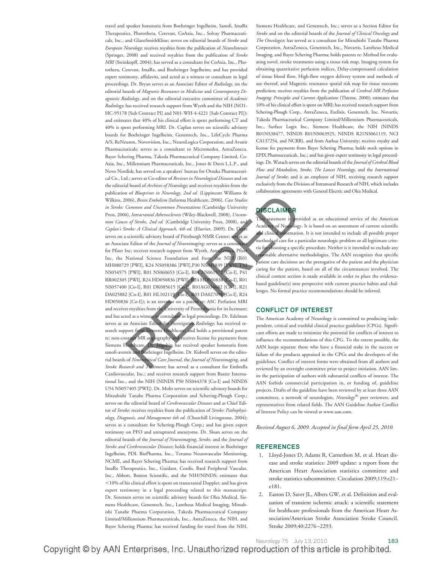travel and speaker honoraria from Boehringer Ingelheim, Sanofi, ImaRx Therapeutics, Photothera, Cerevast, CoAxia, Inc., Solvay Pharmaceuticals, Inc., and GlaxoSmithKline; serves on editorial boards of *Stroke* and *European Neurology*; receives royalties from the publication of *NeuroIntensiv* (Springer, 2008) and received royalties from the publication of *Stroke MRI* (Steinkopff, 2004); has served as a consultant for CoAxia, Inc., Photothera, Cerevast, ImaRx, and Boehringer Ingelheim; and has provided expert testimony, affidavits, and acted as a witness or consultant in legal proceedings. Dr. Bryan serves as an Associate Editor of *Radiology*, on the editorial boards of *Magnetic Resonance in Medicine* and *Contemporary Diagnostic Radiology*, and on the editorial executive committee of *Academic Radiology*; has received research support from Wyeth and the NIH (NO1- HC-95178 [Sub Contract PI] and N01-WH-4-4221 [Sub Contract PI]); and estimates that 40% of his clinical effort is spent performing CT and 40% is spent performing MRI. Dr. Caplan serves on scientific advisory boards for Boehringer Ingelheim, Genentech, Inc., LifeCycle Pharma A/S, ReNeuron, Novovision, Inc., NeuroLogica Corporation, and Avanir Pharmaceuticals; serves as a consultant to Micromedex, AstraZeneca, Bayer Schering Pharma, Takeda Pharmaceutical Company Limited, Co-Axia, Inc., Millennium Pharmaceuticals, Inc., Jones & Davis L.L.P., and Novo Nordisk; has served on a speakers' bureau for Otsuka Pharmaceutical Co., Ltd.; serves as Co-editor of *Reviews in Neurological Diseases* and on the editorial board of *Archives of Neurology*; and receives royalties from the publication of *Blueprints in Neurology, 2nd ed.* (Lippincott Williams & Wilkins, 2006), *Brain Embolism* (Informa Healthcare, 2006), *Case Studies in Stroke: Common and Uncommon Presentations* (Cambridge University Press, 2006), *Intracranial Atherosclerosis* (Wiley-Blackwell, 2008), *Uncommon Causes of Stroke, 2nd ed.* (Cambridge University Press, 2008), and *Caplan's Stroke: A Clinical Approach, 4th ed.* (Elsevier, 2009). Dr. Detre serves on a scientific advisory board of Pittsburgh NMR Center; serves as an Associate Editor of the *Journal of Neuroimaging*; serves as a consulta for Pfizer Inc; receives research support from Wyeth, AstraZeneca, Pfize Inc, the National Science Foundation and from the NIH (R01 MH080729 [PWI], K24 NS058386 [PWI],P30 NS045839 [PWI], T32 NS054575 [PWI], R01 NS060653 [Co-I], R01 NS061572 [Co-I], P41 RR002305 [PWI], R24 HD050836 [PWI], R24 HD050838 [Co-I], R01 NS057400 [Co-I], R01 DK085615 [Co-I], R01AG034682 [Co-I], R21 DA025882 [Co-I], R01 HL102119 [Co-I], R03 DA027098 [Co-I], R24 HD050836 [Co-I]); is an inventor on a patent re: ASC Perfusion MRI and receives royalties from the University of Pennsylvania for its licensure; and has acted as a witness or consultant in legal proceedings. Dr. Edelman serves as an Associate Editor for *Investigative Radiology*; has received research support from Siemens Healthcare; and holds a provisional patent re: non-contrast MR angiography and receives license fee payments from Siemens Healthcare. Dr. Jaigobin has received speaker honoraria from sanofi-aventis and Boehringer Ingelheim. Dr. Kidwell serves on the editorial boards of *Neurocritical Care Journal*, the *Journal of Neuroimaging*, and *Stroke Research and Treatment*; has served as a consultant for Embrella Cardiovascular, Inc.; and receives research support from Baxter International Inc., and the NIH (NINDS P50 NS044378 [Co-I] and NINDS U54 NS057405 [PWI]). Dr. Mohr serves on scientific advisory boards for Mitsubishi Tanabe Pharma Corporation and Schering-Plough Corp.; serves on the editorial board of *Cerebrovascular Diseases* and as Chief Editor of *Stroke*; receives royalties from the publication of *Stroke: Pathophysiology, Diagnosis, and Management 4th ed.* (Churchill Livingstone, 2004); serves as a consultant for Schering-Plough Corp.; and has given expert testimony on PFO and unruptured aneurysms. Dr. Sloan serves on the editorial boards of the *Journal of Neuroimaging*, *Stroke*, and the *Journal of Stroke and Cerebrovascular Diseases*; holds financial interest in Boehringer Ingelheim, PDL BioPharma, Inc., Terumo Neurovascular Monitoring, NCME, and Bayer Schering Pharma; has received research support from ImaRx Therapeutics, Inc., Guidant, Cordis, Bard Peripheral Vascular, Inc., Abbott, Boston Scientific, and the NIH/NINDS; estimates that -10% of his clinical effort is spent on transcranial Doppler; and has given expert testimony in a legal proceeding related to this manuscript. Dr. Sorensen serves on scientific advisory boards for Olea Medical, Siemens Healthcare, Genentech, Inc., Lantheus Medical Imaging, Mitsubishi Tanabe Pharma Corporation, Takeda Pharmaceutical Company Limited/Millennium Pharmaceuticals, Inc., AstraZeneca, the NIH, and Bayer Schering Pharma; has received funding for travel from the NIH, To Enterprise in Veloring S. 2nd att. (upperator winnis of the consultant in the proceed of the search and the consultant in the search and the search and the search and the search and the search and the search and the sea

Siemens Healthcare, and Genentech, Inc.; serves as a Section Editor for *Stroke* and on the editorial boards of the *Journal of Clinical Oncology* and *The Oncologist*; has served as a consultant for Mitsubishi Tanabe Pharma Corporation, AstraZeneca, Genentech, Inc., Novartis, Lantheus Medical Imaging, and Bayer Schering Pharma; holds patents re: Method for evaluating novel, stroke treatments using a tissue risk map, Imaging system for obtaining quantitative perfusion indices, Delay-compensated calculation of tissue blood flow, High-flow oxygen delivery system and methods of use thereof, and Magnetic resonance spatial risk map for tissue outcome prediction; receives royalties from the publication of *Cerebral MR Perfusion Imaging: Principles and Current Applications* (Thieme, 2000); estimates that 10% of his clinical effort is spent on MRI; has received research support from Schering-Plough Corp., AstraZeneca, Exelixis, Genentech, Inc. Novartis, Takeda Pharmaceutical Company Limited/Millennium Pharmaceuticals, Inc., Surface Logix Inc., Siemens Healthcare, the NIH (NINDS R01NS38477, NINDS R01NS063925, NINDS R21NS061119, NCI CA137254, and NCRR), and from Aarhus University; receives royalty and license fee payments from Bayer Schering Pharma; holds stock options in EPIX Pharmaceuticals, Inc.; and has given expert testimony in legal proceedings. Dr. Warach serves on the editorial boards of the*Journal of Cerebral Blood Flow and Metabolism*, *Stroke*, *The Lancet Neurology*, and the *International Journal of Stroke*; and is an employee of NIH, receiving research support exclusively from the Division of Intramural Research of NIH, which includes collaboration agreements with General Electric and Olea Medical.



is statement is provided as an educational service of the American Academy of Neurology. It is based on an assessment of current scientific and clinical information. It is not intended to include all possible proper methods of care for a particular neurologic problem or all legitimate criteria for choosing a specific procedure. Neither is it intended to exclude any onable alternative methodologies. The AAN recognizes that specific atient care decisions are the prerogative of the patient and the physician caring for the patient, based on all of the circumstances involved. The clinical context section is made available in order to place the evidencebased guideline(s) into perspective with current practice habits and challenges. No formal practice recommendations should be inferred.

#### **CONFLICT OF INTEREST**

The American Academy of Neurology is committed to producing independent, critical and truthful clinical practice guidelines (CPGs). Significant efforts are made to minimize the potential for conflicts of interest to influence the recommendations of this CPG. To the extent possible, the AAN keeps separate those who have a financial stake in the success or failure of the products appraised in the CPGs and the developers of the guidelines. Conflict of interest forms were obtained from all authors and reviewed by an oversight committee prior to project initiation. AAN limits the participation of authors with substantial conflicts of interest. The AAN forbids commercial participation in, or funding of, guideline projects. Drafts of the guideline have been reviewed by at least three AAN committees, a network of neurologists, *Neurology®* peer reviewers, and representatives from related fields. The AAN Guideline Author Conflict of Interest Policy can be viewed at www.aan.com.

*Received August 6, 2009. Accepted in final form April 25, 2010.*

#### **REFERENCES**

- 1. Lloyd-Jones D, Adams R, Carnethon M, et al. Heart disease and stroke statistics: 2009 update: a report from the American Heart Association statistics committee and stroke statistics subcommittee. Circulation 2009;119:e21– e181.
- 2. Easton D, Saver JL, Albers GW, et al. Definition and evaluation of transient ischemic attack: a scientific statement for healthcare professionals from the American Heart Association/American Stroke Association Stroke Council. Stroke 2009;40:2276 –2293.

Neurology 75 July 13, 2010 183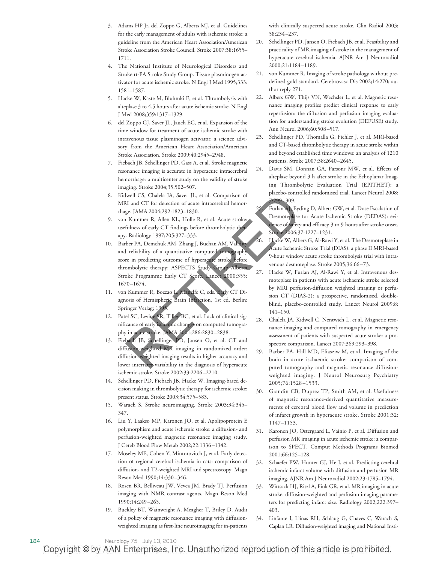- 3. Adams HP Jr, del Zoppo G, Alberts MJ, et al. Guidelines for the early management of adults with ischemic stroke: a guideline from the American Heart Association/American Stroke Association Stroke Council. Stroke 2007;38:1655– 1711.
- 4. The National Institute of Neurological Disorders and Stroke rt-PA Stroke Study Group. Tissue plasminogen activator for acute ischemic stroke. N Engl J Med 1995;333: 1581–1587.
- 5. Hacke W, Kaste M, Bluhmki E, et al. Thrombolysis with alteplase 3 to 4.5 hours after acute ischemic stroke. N Engl J Med 2008;359:1317–1329.
- 6. del Zoppo GJ, Saver JL, Jauch EC, et al. Expansion of the time window for treatment of acute ischemic stroke with intravenous tissue plasminogen activator: a science advisory from the American Heart Association/American Stroke Association. Stroke 2009;40:2945–2948.
- 7. Fiebach JB, Schellinger PD, Gass A, et al. Stroke magnetic resonance imaging is accurate in hyperacute intracerebral hemorrhage: a multicenter study on the validity of stroke imaging. Stroke 2004;35:502–507.
- 8. Kidwell CS, Chalela JA, Saver JL, et al. Comparison of MRI and CT for detection of acute intracerebral hemorrhage. JAMA 2004;292:1823–1830.
- 9. von Kummer R, Allen KL, Holle R, et al. Acute stroke: usefulness of early CT findings before thrombolytic therapy. Radiology 1997;205:327–333.
- 10. Barber PA, Demchuk AM, Zhang J, Buchan AM. Validity and reliability of a quantitative computed tomography score in predicting outcome of hyperacute stroke before thrombolytic therapy: ASPECTS Study Group Alberta Stroke Programme Early CT Score. Lancet 2000;355: 1670 –1674. Iwell CS, Chalela JA, Saver JL, et al. Comparison of<br>
RI and CT for detection of acute intracerebral hemoto-control<br>
12 and CT for detection of acute intracerebral hemoto-<br>
12 Alemann R, Alem KL, Holle R, et al. Acute trok
- 11. von Kummer R, Bozzao L, Manelfe C, eds. Early CT Diagnosis of Hemispheric Brain Infarction, 1st ed. Berlin: Springer Verlag; 1995.
- 12. Patel SC, Levine SR, Tilley BC, et al. Lack of clinical significance of early ischemic changes on computed tomography in acute stroke. JAMA 2001;286:2830 –2838.
- 13. Fiebach JB, Schellinger PD, Jansen O, et al. CT and diffusion-weighted MR imaging in randomized order: diffusion-weighted imaging results in higher accuracy and lower interrater variability in the diagnosis of hyperacute ischemic stroke. Stroke 2002;33:2206 –2210.
- 14. Schellinger PD, Fiebach JB, Hacke W. Imaging-based decision making in thrombolytic therapy for ischemic stroke: present status. Stroke 2003;34:575–583.
- 15. Warach S. Stroke neuroimaging. Stroke 2003;34:345– 347.
- 16. Liu Y, Laakso MP, Karonen JO, et al. Apolipoprotein E polymorphism and acute ischemic stroke: a diffusion- and perfusion-weighted magnetic resonance imaging study. J Cereb Blood Flow Metab 2002;22:1336 –1342.
- 17. Moseley ME, Cohen Y, Mintorovitch J, et al. Early detection of regional cerebral ischemia in cats: comparison of diffusion- and T2-weighted MRI and spectroscopy. Magn Reson Med 1990;14:330 –346.
- 18. Rosen BR, Belliveau JW, Vevea JM, Brady TJ. Perfusion imaging with NMR contrast agents. Magn Reson Med 1990;14:249 –265.
- 19. Buckley BT, Wainwright A, Meagher T, Briley D. Audit of a policy of magnetic resonance imaging with diffusionweighted imaging as first-line neuroimaging for in-patients

with clinically suspected acute stroke. Clin Radiol 2003; 58:234 –237.

- 20. Schellinger PD, Jansen O, Fiebach JB, et al. Feasibility and practicality of MR imaging of stroke in the management of hyperacute cerebral ischemia. AJNR Am J Neuroradiol 2000;21:1184 –1189.
- 21. von Kummer R. Imaging of stroke pathology without predefined gold standard. Cerebrovasc Dis 2002;14:270; author reply 271.
- 22. Albers GW, Thijs VN, Wechsler L, et al. Magnetic resonance imaging profiles predict clinical response to early reperfusion: the diffusion and perfusion imaging evaluation for understanding stroke evolution (DEFUSE) study. Ann Neurol 2006;60:508 –517.
- 23. Schellinger PD, Thomalla G, Fiehler J, et al. MRI-based and CT-based thrombolytic therapy in acute stroke within and beyond established time windows: an analysis of 1210 patients. Stroke 2007;38:2640 –2645.
- 24. Davis SM, Donnan GA, Parsons MW, et al. Effects of alteplase beyond 3 h after stroke in the Echoplanar Imaging Thrombolytic Evaluation Trial (EPITHET): a placebo-controlled randomised trial. Lancet Neurol 2008; 7:299 –309.
	- Furlan AJ, Eyding D, Albers GW, et al. Dose Escalation of Desmoteplase for Acute Ischemic Stroke (DEDAS): evilence of safety and efficacy 3 to 9 hours after stroke onset. Stroke 2006;37:1227–1231.
- 26. Hacke W, Albers G, Al-Rawi Y, et al. The Desmoteplase in Acute Ischemic Stroke Trial (DIAS): a phase II MRI-based 9-hour window acute stroke thrombolysis trial with intravenous desmoteplase. Stroke 2005;36:66 –73.
- 27. Hacke W, Furlan AJ, Al-Rawi Y, et al. Intravenous desmoteplase in patients with acute ischaemic stroke selected by MRI perfusion-diffusion weighted imaging or perfusion CT (DIAS-2): a prospective, randomised, doubleblind, placebo-controlled study. Lancet Neurol 2009;8: 141–150.
- 28. Chalela JA, Kidwell C, Nentwich L, et al. Magnetic resonance imaging and computed tomography in emergency assessment of patients with suspected acute stroke: a prospective comparison. Lancet 2007;369:293–398.
- 29. Barber PA, Hill MD, Eliasziw M, et al. Imaging of the brain in acute ischaemic stroke: comparison of computed tomography and magnetic resonance diffusionweighted imaging. J Neurol Neurosurg Psychiatry 2005;76:1528 –1533.
- 30. Grandin CB, Duprez TP, Smith AM, et al. Usefulness of magnetic resonance-derived quantitative measurements of cerebral blood flow and volume in prediction of infarct growth in hyperacute stroke. Stroke 2001;32: 1147–1153.
- 31. Karonen JO, Ostergaard L, Vainio P, et al. Diffusion and perfusion MR imaging in acute ischemic stroke: a comparison to SPECT. Comput Methods Programs Biomed 2001;66:125–128.
- 32. Schaefer PW, Hunter GJ, He J, et al. Predicting cerebral ischemic infarct volume with diffusion and perfusion MR imaging. AJNR Am J Neuroradiol 2002;23:1785–1794.
- 33. Wittsack HJ, Ritzl A, Fink GR, et al. MR imaging in acute stroke: diffusion-weighted and perfusion imaging parameters for predicting infarct size. Radiology 2002;222:397– 403.
- 34. Linfante I, Llinas RH, Schlaug G, Chaves C, Warach S, Caplan LR. Diffusion-weighted imaging and National Insti-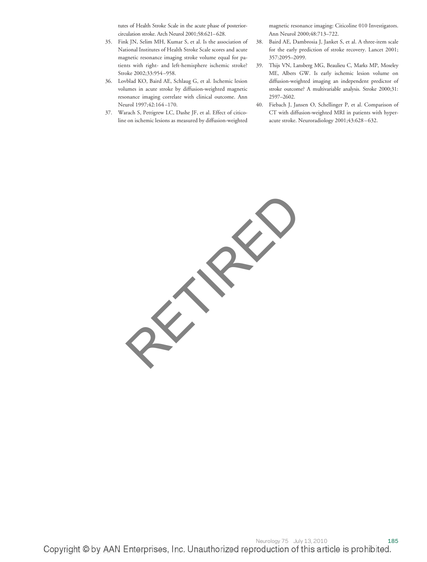tutes of Health Stroke Scale in the acute phase of posteriorcirculation stroke. Arch Neurol 2001;58:621– 628.

- 35. Fink JN, Selim MH, Kumar S, et al. Is the association of National Institutes of Health Stroke Scale scores and acute magnetic resonance imaging stroke volume equal for patients with right- and left-hemisphere ischemic stroke? Stroke 2002;33:954 –958.
- 36. Lovblad KO, Baird AE, Schlaug G, et al. Ischemic lesion volumes in acute stroke by diffusion-weighted magnetic resonance imaging correlate with clinical outcome. Ann Neurol 1997;42:164 –170.
- 37. Warach S, Pettigrew LC, Dashe JF, et al. Effect of citicoline on ischemic lesions as measured by diffusion-weighted

magnetic resonance imaging: Citicoline 010 Investigators. Ann Neurol 2000;48:713–722.

- 38. Baird AE, Dambrosia J, Janket S, et al. A three-item scale for the early prediction of stroke recovery. Lancet 2001; 357:2095–2099.
- 39. Thijs VN, Lansberg MG, Beaulieu C, Marks MP, Moseley ME, Albers GW. Is early ischemic lesion volume on diffusion-weighted imaging an independent predictor of stroke outcome? A multivariable analysis. Stroke 2000;31: 2597–2602.
- 40. Fiebach J, Jansen O, Schellinger P, et al. Comparison of CT with diffusion-weighted MRI in patients with hyperacute stroke. Neuroradiology 2001;43:628 – 632.

RETIRED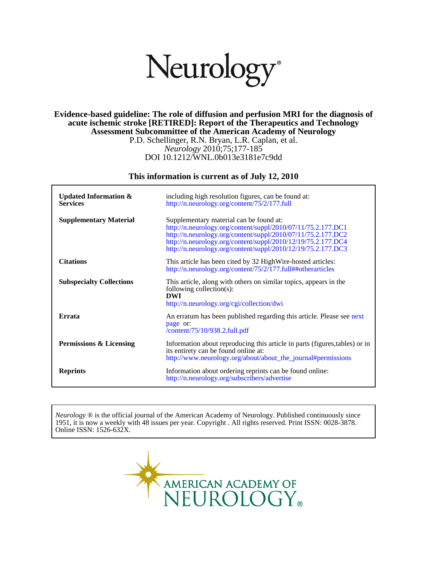# Neurology®

### **Assessment Subcommittee of the American Academy of Neurology acute ischemic stroke [RETIRED]: Report of the Therapeutics and Technology Evidence-based guideline: The role of diffusion and perfusion MRI for the diagnosis of**

DOI 10.1212/WNL.0b013e3181e7c9dd *Neurology* 2010;75;177-185 P.D. Schellinger, R.N. Bryan, L.R. Caplan, et al.

| <b>Updated Information &amp;</b><br><b>Services</b> | including high resolution figures, can be found at:<br>http://n.neurology.org/content/75/2/177.full                                                                                                                                                                                                     |
|-----------------------------------------------------|---------------------------------------------------------------------------------------------------------------------------------------------------------------------------------------------------------------------------------------------------------------------------------------------------------|
| <b>Supplementary Material</b>                       | Supplementary material can be found at:<br>http://n.neurology.org/content/suppl/2010/07/11/75.2.177.DC1<br>http://n.neurology.org/content/suppl/2010/07/11/75.2.177.DC2<br>http://n.neurology.org/content/suppl/2010/12/19/75.2.177.DC4<br>http://n.neurology.org/content/suppl/2010/12/19/75.2.177.DC3 |
| <b>Citations</b>                                    | This article has been cited by 32 High Wire-hosted articles:<br>http://n.neurology.org/content/75/2/177.full##otherarticles                                                                                                                                                                             |
| <b>Subspecialty Collections</b>                     | This article, along with others on similar topics, appears in the<br>following collection(s):<br><b>DWI</b><br>http://n.neurology.org/cgi/collection/dwi                                                                                                                                                |
| Errata                                              | An erratum has been published regarding this article. Please see next<br>page or:<br>$\/$ content/75/10/938.2.full.pdf                                                                                                                                                                                  |
| <b>Permissions &amp; Licensing</b>                  | Information about reproducing this article in parts (figures, tables) or in<br>its entirety can be found online at:<br>http://www.neurology.org/about/about_the_journal#permissions                                                                                                                     |
| <b>Reprints</b>                                     | Information about ordering reprints can be found online:<br>http://n.neurology.org/subscribers/advertise                                                                                                                                                                                                |

## **This information is current as of July 12, 2010**

Online ISSN: 1526-632X. 1951, it is now a weekly with 48 issues per year. Copyright . All rights reserved. Print ISSN: 0028-3878. *Neurology* ® is the official journal of the American Academy of Neurology. Published continuously since